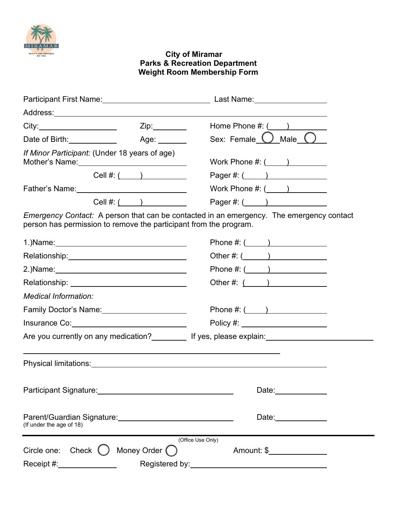

## **City of Miramar Parks & Recreation Department Weight Room Membership Form**

| Participant First Name: 2008 2014 2022 2023                                                                    |                       | Last Name: with the control of the control of the control of the control of the control of the control of the control of the control of the control of the control of the control of the control of the control of the control |  |  |
|----------------------------------------------------------------------------------------------------------------|-----------------------|--------------------------------------------------------------------------------------------------------------------------------------------------------------------------------------------------------------------------------|--|--|
|                                                                                                                |                       |                                                                                                                                                                                                                                |  |  |
|                                                                                                                |                       | Home Phone $\#$ : $($                                                                                                                                                                                                          |  |  |
| Date of Birth: <u>New York Birth</u>                                                                           | Age: _______          | Sex: Female $\bigcup$ Male $\bigcup$                                                                                                                                                                                           |  |  |
| If Minor Participant: (Under 18 years of age)<br>Mother's Name: ___________________________                    |                       | Work Phone $\#: (\_\_\_\_)$                                                                                                                                                                                                    |  |  |
| Cell $\#$ : $($                                                                                                |                       | Pager #: $($ $)$                                                                                                                                                                                                               |  |  |
| Father's Name: Manual Annual Annual Annual Annual Annual Annual Annual Annual Annual Annual Annual Annual Annu |                       | Work Phone $\#: (\_\_\_\_)$                                                                                                                                                                                                    |  |  |
|                                                                                                                | Cell #: $($           | Pager #: $($ $)$                                                                                                                                                                                                               |  |  |
| person has permission to remove the participant from the program.                                              |                       | <i>Emergency Contact:</i> A person that can be contacted in an emergency. The emergency contact                                                                                                                                |  |  |
|                                                                                                                |                       | Phone $\#: (\_\_)$                                                                                                                                                                                                             |  |  |
| Relationship:_______________________________                                                                   |                       | Other #: $($ $)$                                                                                                                                                                                                               |  |  |
|                                                                                                                |                       | Phone #: $($ $)$                                                                                                                                                                                                               |  |  |
|                                                                                                                |                       | Other #: $($                                                                                                                                                                                                                   |  |  |
| <b>Medical Information:</b>                                                                                    |                       |                                                                                                                                                                                                                                |  |  |
| Family Doctor's Name: 1997                                                                                     |                       | Phone $\#: ($ ( )                                                                                                                                                                                                              |  |  |
| Insurance Co: <u>www.community.com</u>                                                                         |                       | Policy #: _____________________                                                                                                                                                                                                |  |  |
|                                                                                                                |                       | Are you currently on any medication?___________ If yes, please explain:________________                                                                                                                                        |  |  |
|                                                                                                                |                       |                                                                                                                                                                                                                                |  |  |
|                                                                                                                |                       | Date: the contract of the contract of the contract of the contract of the contract of the contract of the contract of the contract of the contract of the contract of the contract of the contract of the contract of the cont |  |  |
| (If under the age of 18)                                                                                       |                       | Date: ______________                                                                                                                                                                                                           |  |  |
|                                                                                                                |                       | (Office Use Only)                                                                                                                                                                                                              |  |  |
| Circle one: $Check$ $()$                                                                                       | Money Order $\bigcap$ | Amount: \$                                                                                                                                                                                                                     |  |  |
| Receipt #:_______________                                                                                      |                       | Registered by: Network and the set of the set of the set of the set of the set of the set of the set of the set of the set of the set of the set of the set of the set of the set of the set of the set of the set of the set  |  |  |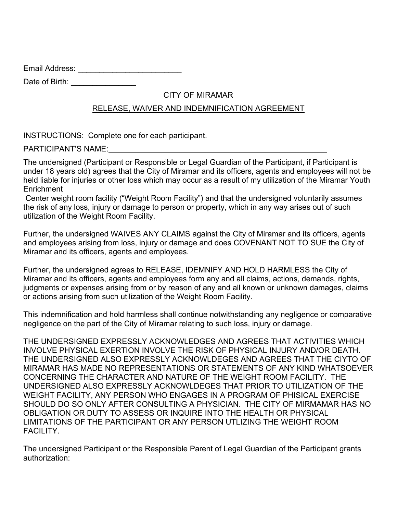Email Address: \_\_\_\_\_\_\_\_\_\_\_\_\_\_\_\_\_\_\_\_\_\_\_\_

Date of Birth: \_\_\_\_\_\_\_\_\_\_\_\_\_\_\_\_\_

## CITY OF MIRAMAR

## RELEASE, WAIVER AND INDEMNIFICATION AGREEMENT

INSTRUCTIONS: Complete one for each participant.

**PARTICIPANT'S NAME:** 

 held liable for injuries or other loss which may occur as a result of my utilization of the Miramar Youth The undersigned (Participant or Responsible or Legal Guardian of the Participant, if Participant is under 18 years old) agrees that the City of Miramar and its officers, agents and employees will not be **Enrichment** 

Center weight room facility ("Weight Room Facility") and that the undersigned voluntarily assumes the risk of any loss, injury or damage to person or property, which in any way arises out of such utilization of the Weight Room Facility.

Further, the undersigned WAIVES ANY CLAIMS against the City of Miramar and its officers, agents and employees arising from loss, injury or damage and does COVENANT NOT TO SUE the City of Miramar and its officers, agents and employees.

 Further, the undersigned agrees to RELEASE, IDEMNIFY AND HOLD HARMLESS the City of or actions arising from such utilization of the Weight Room Facility. Miramar and its officers, agents and employees form any and all claims, actions, demands, rights, judgments or expenses arising from or by reason of any and all known or unknown damages, claims

This indemnification and hold harmless shall continue notwithstanding any negligence or comparative negligence on the part of the City of Miramar relating to such loss, injury or damage.

THE UNDERSIGNED EXPRESSLY ACKNOWLEDGES AND AGREES THAT ACTIVITIES WHICH INVOLVE PHYSICAL EXERTION INVOLVE THE RISK OF PHYSICAL INJURY AND/OR DEATH. THE UNDERSIGNED ALSO EXPRESSLY ACKNOWLDEGES AND AGREES THAT THE CIYTO OF MIRAMAR HAS MADE NO REPRESENTATIONS OR STATEMENTS OF ANY KIND WHATSOEVER CONCERNING THE CHARACTER AND NATURE OF THE WEIGHT ROOM FACILITY. THE UNDERSIGNED ALSO EXPRESSLY ACKNOWLDEGES THAT PRIOR TO UTILIZATION OF THE WEIGHT FACILITY, ANY PERSON WHO ENGAGES IN A PROGRAM OF PHISICAL EXERCISE SHOULD DO SO ONLY AFTER CONSULTING A PHYSICIAN. THE CITY OF MIRMAMAR HAS NO OBLIGATION OR DUTY TO ASSESS OR INQUIRE INTO THE HEALTH OR PHYSICAL LIMITATIONS OF THE PARTICIPANT OR ANY PERSON UTLIZING THE WEIGHT ROOM FACILITY.

 The undersigned Participant or the Responsible Parent of Legal Guardian of the Participant grants authorization: